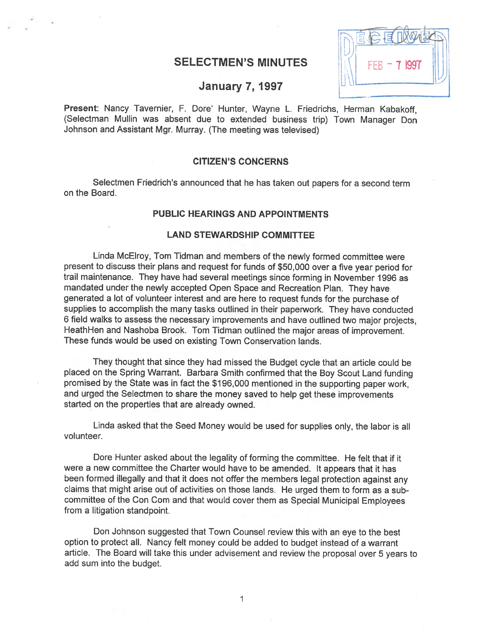# **SELECTMEN'S MINUTES**



## **January 7, 1997**

Present: Nancy Tavernier, F. Dore' Hunter, Wayne L. Friedrichs, Herman Kabakoff, (Selectman Mullin was absent due to extended business trip) Town Manager Don Johnson and Assistant Mgr. Murray. (The meeting was televised)

#### CITIZEN'S CONCERNS

Selectmen Friedrich's announced that he has taken out papers for <sup>a</sup> second term on the Board.

### PUBLIC HEARINGS AND APPOINTMENTS

#### LAND STEWARDSHIP COMMITTEE

Linda McElroy, Tom Tidman and members of the newly formed committee were presen<sup>t</sup> to discuss their <sup>p</sup>lans and reques<sup>t</sup> for funds of \$50,000 over <sup>a</sup> five year period for trail maintenance. They have had several meetings since forming in November <sup>1996</sup> as mandated under the newly accepted Open Space and Recreation Plan. They have generated <sup>a</sup> lot of volunteer interest and are here to reques<sup>t</sup> funds for the purchase of supplies to accomplish the many tasks outlined in their paperwork. They have conducted <sup>6</sup> field walks to assess the necessary improvements and have outlined two major projects, HeathHen and Nashoba Brook. Tom Tidman outlined the major areas of improvement. These funds would be used on existing Town Conservation lands.

They thought that since they had missed the Budget cycle that an article could be <sup>p</sup>laced on the Spring Warrant. Barbara Smith confirmed that the Boy Scout Land funding promised by the State was in fact the \$196,000 mentioned in the supporting paper work, and urge<sup>d</sup> the Selectmen to share the money saved to help ge<sup>t</sup> these improvements started on the properties that are already owned.

Linda asked that the Seed Money would be used for supplies only, the labor is all volunteer.

Dore Hunter asked about the legality of forming the committee. He felt that if it were <sup>a</sup> new committee the Charter would have to be amended. It appears that it has been formed illegally and that it does not offer the members legal protection against any claims that might arise out of activities on those lands. He urge<sup>d</sup> them to form as <sup>a</sup> sub committee of the Con Com and that would cover them as Special Municipal Employees from <sup>a</sup> litigation standpoint.

Don Johnson suggested that Town Counsel review this with an eye to the best option to protect all. Nancy felt money could be added to budget instead of <sup>a</sup> warrant article. The Board will take this under advisement and review the proposa<sup>l</sup> over <sup>5</sup> years to add sum into the budget.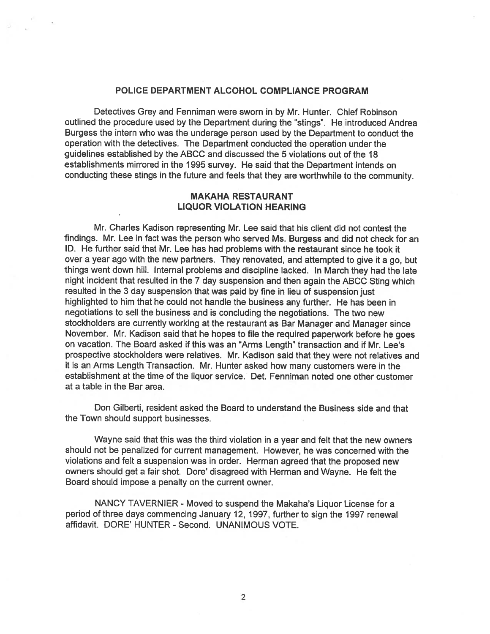#### POLICE DEPARTMENT ALCOHOL COMPLIANCE PROGRAM

Detectives Grey and Fenniman were sworn in by Mr. Hunter. Chief Robinson outlined the procedure used by the Department during the "stings". He introduced Andrea Burgess the intern who was the underage person used by the Department to conduct the operation with the detectives. The Department conducted the operation under the guidelines established by the ABCC and discussed the 5 violations out of the 18 establishments mirrored in the 1995 survey. He said that the Department intends on conducting these stings in the future and feels that they are worthwhile to the community.

#### MAKAHA RESTAURANT LIQUOR VIOLATION HEARING

Mr. Charles Kadison representing Mr. Lee said that his client did not contest the findings. Mr. Lee in fact was the person who served Ms. Burgess and did not check for an ID. He further said that Mr. Lee has had problems with the restaurant since he took it over <sup>a</sup> year ago with the new partners. They renovated, and attempted to <sup>g</sup>ive it <sup>a</sup> go, but things went down hill. Internal problems and discipline lacked. In March they had the late night incident that resulted in the <sup>7</sup> day suspension and then again the ABCC Sting which resulted in the <sup>3</sup> day suspension that was paid by fine in lieu of suspension just highlighted to him that he could not handle the business any further. He has been in negotiations to sell the business and is concluding the negotiations. The two new stockholders are currently working at the restaurant as Bar Manager and Manager since November. Mr. Kadison said that he hopes to file the required paperwor<sup>k</sup> before he goes on vacation. The Board asked if this was an "Arms Length" transaction and if Mr. Lee's prospective stockholders were relatives. Mr. Kadison said that they were not relatives and it is an Arms Length Transaction. Mr. Hunter asked how many customers were in the establishment at the time of the liquor service. Det. Fenniman noted one other customer at <sup>a</sup> table in the Bar area.

Don Gilberti, resident asked the Board to understand the Business side and that the Town should suppor<sup>t</sup> businesses.

Wayne said that this was the third violation in <sup>a</sup> year and felt that the new owners should not be penalized for current management. However, he was concerned with the violations and felt <sup>a</sup> suspension was in order. Herman agree<sup>d</sup> that the propose<sup>d</sup> new owners should ge<sup>t</sup> <sup>a</sup> fair shot. Dore' disagreed with Herman and Wayne. He felt the Board should impose <sup>a</sup> penalty on the current owner.

NANCY TAVERNIER - Moved to suspend the Makaha's Liquor License for a period of three days commencing January 12, 1997, further to sign the 1997 renewal affidavit. DORE' HUNTER - Second. UNANIMOUS VOTE.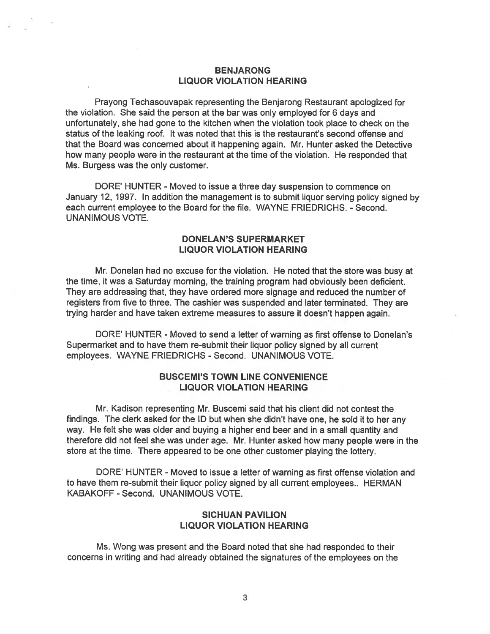### BENJARONG LIQUOR VIOLATION HEARING

Prayong Techasouvapak representing the Benjarong Restaurant apologized for the violation. She said the person at the bar was only employed for 6 days and unfortunately, she had gone to the kitchen when the violation took place to check on the status of the leaking roof. It was noted that this is the restaurant's second offense and that the Board was concerned about it happening again. Mr. Hunter asked the Detective how many people were in the restaurant at the time of the violation. He responded that Ms. Burgess was the only customer.

DORE' HUNTER - Moved to issue <sup>a</sup> three day suspension to commence on January 12, 1997. In addition the managemen<sup>t</sup> is to submit liquor serving policy signed by each current employee to the Board for the file. WAYNE FRIEDRICHS. - Second. UNANIMOUS VOTE.

### DONELAN'S SUPERMARKET LIQUOR VIOLATION HEARING

Mr. Donelan had no excuse for the violation. He noted that the store was busy at the time, it was <sup>a</sup> Saturday morning, the training program had obviously been deficient. They are addressing that, they have ordered more signage and reduced the number of registers from five to three. The cashier was suspended and later terminated. They are trying harder and have taken extreme measures to assure it doesn't happen again.

DORE' HUNTER - Moved to send a letter of warning as first offense to Donelan's Supermarket and to have them re-submit their liquor policy signed by all current employees. WAYNE FRIEDRICHS - Second. UNANIMOUS VOTE.

### BUSCEMI'S TOWN LINE CONVENIENCE LIQUOR VIOLATION HEARING

Mr. Kadison representing Mr. Buscemi said that his client did not contest the findings. The clerk asked for the ID but when she didn't have one, he sold it to her any way. He felt she was older and buying <sup>a</sup> higher end beer and in <sup>a</sup> small quantity and therefore did not feel she was under age. Mr. Hunter asked how many people were in the store at the time. There appeared to be one other customer <sup>p</sup>laying the lottery.

DORE' HUNTER - Moved to issue <sup>a</sup> letter of warning as first offense violation and to have them re-submit their liquor policy signed by all current employees.. HERMAN KABAKOFF - Second. UNANIMOUS VOTE.

### SICHUAN PAVILION LIQUOR VIOLATION HEARING

Ms. Wong was presen<sup>t</sup> and the Board noted that she had responded to their concerns in writing and had already obtained the signatures of the employees on the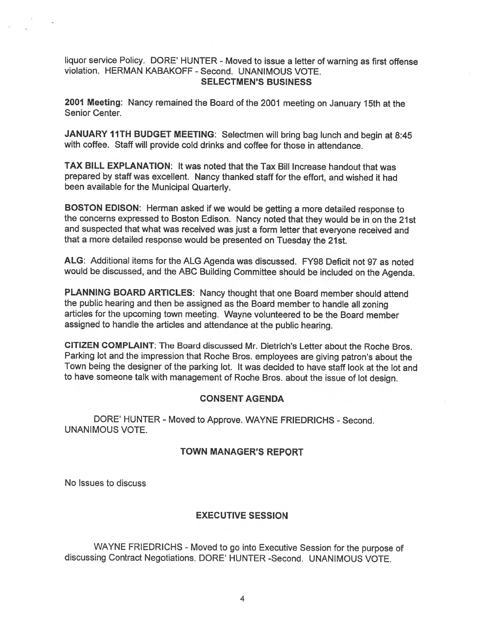### liquor service Policy. DORE' HUNTER - Moved to issue <sup>a</sup> letter of warning as first offense violation. HERMAN KABAKOFF - Second. UNANIMOUS VOTE. SELECTMEN'S BUSINESS

<sup>2001</sup> Meeting: Nancy remained the Board of the <sup>2001</sup> meeting on January 15th at the Senior Center.

JANUARY 11TH BUDGET MEETING: Selectmen will bring bag lunch and begin at 8:45 with coffee. Staff will provide cold drinks and coffee for those in attendance.

TAX BILL EXPLANATION: It was noted that the Tax Bill Increase handout that was prepared by staff was excellent. Nancy thanked staff for the effort, and wished it had been available for the Municipal Quarterly.

BOSTON EDISON: Herman asked if we would be getting <sup>a</sup> more detailed response to the concerns expresse<sup>d</sup> to Boston Edison. Nancy noted that they would be in on the 21st and suspected that what was received was just <sup>a</sup> form letter that everyone received and that <sup>a</sup> more detailed response would be presented on Tuesday the 21st.

ALG: Additional items for the ALG Agenda was discussed. FY98 Deficit not 97 as noted would be discussed, and the ABC Building Committee should be included on the Agenda.

PLANNING BOARD ARTICLES: Nancy thought that one Board member should attend the public hearing and then be assigned as the Board member to handle all zoning articles for the upcoming town meeting. Wayne volunteered to be the Board member assigned to handle the articles and attendance at the public hearing.

CITIZEN COMPLAINT: The Board discussed Mr. Dietrich's Letter about the Roche Bros. Parking lot and the impression that Roche Bros. employees are <sup>g</sup>iving patron's about the Town being the designer of the parking lot. It was decided to have staff look at the lot and to have someone talk with managemen<sup>t</sup> of Roche Bros. about the issue of lot design.

# CONSENT AGENDA

DORE' HUNTER - Moved to Approve. WAYNE FRIEDRICHS - Second. UNANIMOUS VOTE.

### TOWN MANAGER'S REPORT

No Issues to discuss

## EXECUTIVE SESSION

WAYNE FRIEDRICHS - Moved to go into Executive Session for the purpose of discussing Contract Negotiations. DORE' HUNTER -Second. UNANIMOUS VOTE.